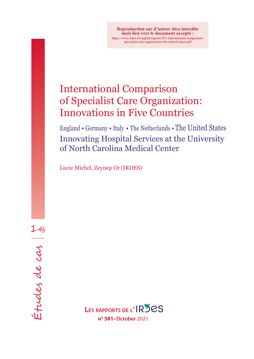**Reproduction sur d'autres sites interdite mais lien vers le document accepté :** https://www.irdes.fr/english/reports/581-international-comparisonspecialist-care-organization-the-united-states.pdf

# International Comparison of Specialist Care Organization: Innovations in Five Countries

England • Germany • Italy • The Netherlands •The United States Innovating Hospital Services at the University of North Carolina Medical Center

Lucie Michel, Zeynep Or (IRDES)

Études de cas |  $Intabs$  de cas  $\frac{1}{4}$ 

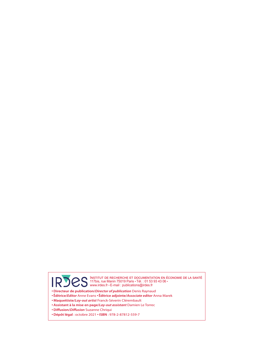Institut de recherche et documentation en économie de la santé 117bis, rue Manin 75019 Paris • Tél. : 01 53 93 43 06 • www.irdes.fr • E-mail : publications@irdes.fr

- **Directeur de publication/***Director of publication* Denis Raynaud
- **Éditrice/***Editor* Anne Evans **Éditrice adjointe/***Associate editor* Anna Marek
- **Maquettiste/***Lay-out artist* Franck-Séverin Clérembault
- **Assistant à la mise en page/***Lay-out assistant* Damien Le Torrec
- **Diffusion/***Diffusion* Suzanne Chriqui
- **Dépôt légal** : octobre 2021 **ISBN** : 978-2-87812-559-7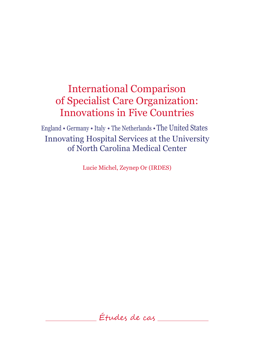England • Germany • Italy • The Netherlands •The United States Innovating Hospital Services at the University of North Carolina Medical Center

Lucie Michel, Zeynep Or (IRDES)

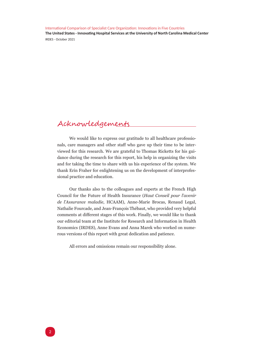## <span id="page-3-0"></span>Acknowledgements

We would like to express our gratitude to all healthcare professionals, care managers and other staff who gave up their time to be interviewed for this research. We are grateful to Thomas Ricketts for his guidance during the research for this report, his help in organizing the visits and for taking the time to share with us his experience of the system. We thank Erin Fraher for enlightening us on the development of interprofessional practice and education.

Our thanks also to the colleagues and experts at the French High Council for the Future of Health Insurance (*Haut Conseil pour l'avenir de l'Assurance maladie*, HCAAM), Anne-Marie Brocas, Renaud Legal, Nathalie Fourcade, and Jean-François Thébaut, who provided very helpful comments at different stages of this work. Finally, we would like to thank our editorial team at the Institute for Research and Information in Health Economics (IRDES), Anne Evans and Anna Marek who worked on numerous versions of this report with great dedication and patience.

All errors and omissions remain our responsibility alone.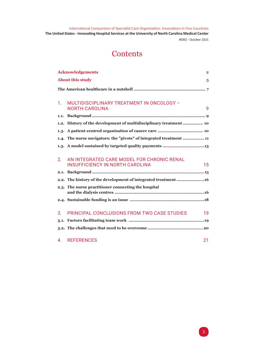## **Contents**

|                | <b>Acknowledgements</b>                                                                    | $\overline{2}$ |
|----------------|--------------------------------------------------------------------------------------------|----------------|
|                | <b>About this study</b>                                                                    | 5              |
|                |                                                                                            |                |
|                |                                                                                            |                |
| 1 <sup>1</sup> | MULTIDISCIPLINARY TREATMENT IN ONCOLOGY -<br><b>NORTH CAROLINA</b>                         | 9              |
| 1.1.           |                                                                                            |                |
|                | 1.2. History of the development of multidisciplinary treatment  10                         |                |
|                |                                                                                            |                |
|                | 1.4. The nurse navigators: the "pivots" of integrated treatment  11                        |                |
|                |                                                                                            |                |
|                |                                                                                            |                |
| 2.             | AN INTEGRATED CARE MODEL FOR CHRONIC RENAL<br><b>INSUFFICIENCY IN NORTH CAROLINA</b><br>15 |                |
|                |                                                                                            |                |
|                | 2.2. The history of the development of integrated treatment 16                             |                |
|                | 2.3. The nurse practitioner connecting the hospital                                        |                |
|                |                                                                                            |                |
|                |                                                                                            |                |
| 3.             | PRINCIPAL CONCLUSIONS FROM TWO CASE STUDIES<br>19                                          |                |
|                |                                                                                            |                |
|                |                                                                                            |                |
| $\mathbf{A}$   | <b>REFERENCES</b><br>21                                                                    |                |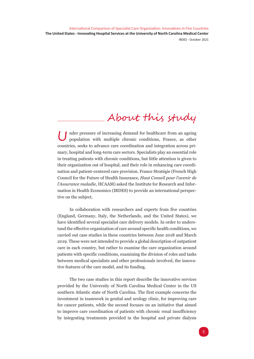# About this study

<span id="page-6-0"></span>Under pressure of increasing demand for healthcare from an ageing population with multiple chronic conditions, France, as other countries, seeks to advance care coordination and integration across primary, hospital and long-term care sectors. Specialists play an essential role in treating patients with chronic conditions, but little attention is given to their organization out of hospital, and their role in enhancing care coordination and patient-centered care provision. France Stratégie (French High Council for the Future of Health Insurance, *Haut Conseil pour l'avenir de l'Assurance maladie*, HCAAM) asked the Institute for Research and Information in Health Economics (IRDES) to provide an international perspective on the subject.

In collaboration with researchers and experts from five countries (England, Germany, Italy, the Netherlands, and the United States), we have identified several specialist care delivery models. In order to understand the effective organization of care around specific health conditions, we carried out case studies in these countries between June 2018 and March 2019. These were not intended to provide a global description of outpatient care in each country, but rather to examine the care organization around patients with specific conditions, examining the division of roles and tasks between medical specialists and other professionals involved, the innovative features of the care model, and its funding.

The two case studies in this report describe the innovative services provided by the University of North Carolina Medical Center in the US southern Atlantic state of North Carolina. The first example concerns the investment in teamwork in genital and urology clinic, for improving care for cancer patients, while the second focuses on an initiative that aimed to improve care coordination of patients with chronic renal insufficiency by integrating treatments provided in the hospital and private dialysis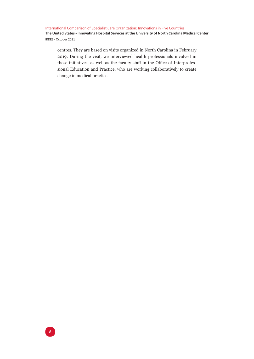centres. They are based on visits organized in North Carolina in February 2019. During the visit, we interviewed health professionals involved in these initiatives, as well as the faculty staff in the Office of Interprofessional Education and Practice, who are working collaboratively to create change in medical practice.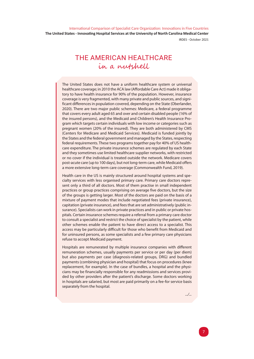IRDES - October 2021

## <span id="page-8-0"></span>THE AMERICAN HEALTHCARE in a nutshell

The United States does not have a uniform healthcare system or universal healthcare coverage; in 2010 the ACA law (Affordable Care Act) made it obligatory to have health insurance for 90% of the population. However, insurance coverage is very fragmented, with many private and public sources, and significant differences in population covered, depending on the State (Oberlander, 2020). There are two major public schemes: Medicare, a federal programme that covers every adult aged 65 and over and certain disabled people (16% of the insured persons), and the Medicaid and Children's Health Insurance Program which targets certain individuals with low income or categories such as pregnant women (20% of the insured). They are both administered by CMS (Centers for Medicare and Medicaid Services). Medicaid is funded jointly by the States and the federal government and managed by the States, respecting federal requirements. These two programs together pay for 40% of US healthcare expenditure. The private insurance schemes are regulated by each State and they sometimes use limited healthcare supplier networks, with restricted or no cover if the individual is treated outside the network. Medicare covers post-acute care (up to 100 days), but not long-term care, while Medicaid offers a more extensive long-term care coverage (Commonwealth Fund, 2019).

Health care in the US is mainly structured around hospital systems and specialty services with less organised primary care. Primary care doctors represent only a third of all doctors. Most of them practise in small independent practices or group practices comprising on average five doctors, but the size of the groups is getting larger. Most of the doctors are paid on the basis of a mixture of payment modes that include negotiated fees (private insurance), capitation (private insurance), and fees that are set administratively (public insurance). Specialists can work in private practices and in public or private hospitals. Certain insurance schemes require a referral from a primary care doctor to consult a specialist and restrict the choice of specialist by the patient, while other schemes enable the patient to have direct access to a specialist. This access may be particularly difficult for those who benefit from Medicaid and for uninsured persons, as some specialists and a few primary care physicians refuse to accept Medicaid payment.

Hospitals are remunerated by multiple insurance companies with different remuneration schemes, usually payments per service or per day (per diem) but also payments per case (diagnosis-related groups, DRG) and bundled payments (combining physician and hospital) that focus on procedures (knee replacement, for example). In the case of bundles, a hospital and the physicians may be financially responsible for any readmissions and services provided by other providers after the patient's discharge. Some doctors working in hospitals are salaried, but most are paid primarily on a fee-for service basis separately from the hospital.

7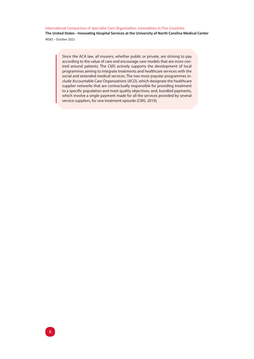**The United States - Innovating Hospital Services at the University of North Carolina Medical Center** IRDES - October 2021

> Since the ACA law, all insurers, whether public or private, are striving to pay according to the value of care and encourage care models that are more centred around patients. The CMS actively supports the development of local programmes aiming to integrate treatments and healthcare services with the social and extended medical services. The two most popular programmes include Accountable Care Organizations (ACO), which designate the healthcare supplier networks that are contractually responsible for providing treatment to a specific population and meet quality objectives; and, bundled payments, which involve a single payment made for all the services provided by several service suppliers, for one treatment episode (CMS, 2019).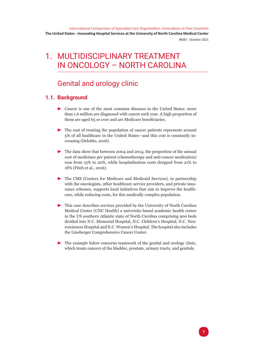## <span id="page-10-0"></span>1. MULTIDISCIPLINARY TREATMENT IN ONCOLOGY – NORTH CAROLINA

## Genital and urology clinic

## **1.1. Background**

- $\triangleright$  Cancer is one of the most common diseases in the United States: more than 1.6 million are diagnosed with cancer each year. A high proportion of them are aged 65 or over and are Medicare beneficiaries.
- $\blacktriangleright$  The cost of treating the population of cancer patients represents around 5% of all healthcare in the United States—and this cost is constantly increasing (Deloitte, 2016).
- $\triangleright$  The data show that between 2004 and 2014, the proportion of the annual cost of medicines per patient (chemotherapy and anti-cancer medication) rose from 15% to 20%, while hospitalisation costs dropped from 21% to 18% (Fitch et al., 2016).
- $\blacktriangleright$  The CMS (Centers for Medicare and Medicaid Services), in partnership with the oncologists, other healthcare service providers, and private insurance schemes, supports local initiatives that aim to improve the healthcare, while reducing costs, for this medically complex population.
- $\triangleright$  This case describes services provided by the University of North Carolina Medical Center (UNC Health) a university-based academic health center in the US southern Atlantic state of North Carolina comprising 900 beds divided into N.C. Memorial Hospital, N.C. Children's Hospital, N.C. Neurosciences Hospital and N.C. Women's Hospital. The hospital also includes the Lineberger Comprehensive Cancer Center.
- $\blacktriangleright$  The example below concerns teamwork of the genital and urology clinic, which treats cancers of the bladder, prostate, urinary tracts, and genitals.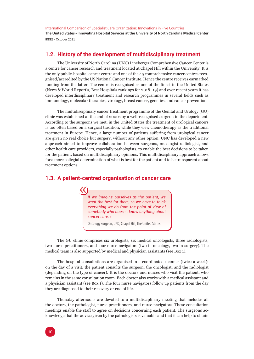<span id="page-11-0"></span>**The United States - Innovating Hospital Services at the University of North Carolina Medical Center** IRDES - October 2021

### **1.2. History of the development of multidisciplinary treatment**

The University of North Carolina (UNC) Lineberger Comprehensive Cancer Center is a centre for cancer research and treatment located at Chapel Hill within the University. It is the only public-hospital cancer centre and one of the 45 comprehensive cancer centres recognised/accredited by the US National Cancer Institute. Hence the centre receives earmarked funding from the latter. The centre is recognised as one of the finest in the United States (News & World Report's, Best Hospitals rankings for 2018–19) and over recent years it has developed interdisciplinary treatment and research programmes in several fields such as immunology, molecular therapies, virology, breast cancer, genetics, and cancer prevention.

The multidisciplinary cancer treatment programme of the Genital and Urology (GU) clinic was established at the end of 2000s by a well-recognised surgeon in the department. According to the surgeons we met, in the United States the treatment of urological cancers is too often based on a surgical tradition, while they view chemotherapy as the traditional treatment in Europe. Hence, a large number of patients suffering from urological cancer are given no real choice but surgery, without any other option. UNC has developed a new approach aimed to improve collaboration between surgeons, oncologist-radiologist, and other health care providers, especially pathologists, to enable the best decisions to be taken for the patient, based on multidisciplinary opinions. This multidisciplinary approach allows for a more collegial determination of what is best for the patient and to be transparent about treatment options.

### **1.3. A patient-centred organisation of cancer care**

*If we imagine ourselves as the patient, we want the best for them, so we have to think everything we do from the point of view of somebody who doesn't know anything about cancer care. »*

Oncology surgeon, UNC, Chapel Hill, The United States

The GU clinic comprises six urologists, six medical oncologists, three radiologists, two nurse practitioners, and four nurse navigators (two in oncology, two in surgery). The medical team is also supported by medical and physician assistants (see Box 1).

The hospital consultations are organised in a coordinated manner (twice a week): on the day of a visit, the patient consults the surgeon, the oncologist, and the radiologist (depending on the type of cancer). It is the doctors and nurses who visit the patient, who remains in the same consultation room. Each doctor also works with a medical assistant and a physician assistant (see Box 1). The four nurse navigators follow up patients from the day they are diagnosed to their recovery or end of life.

Thursday afternoons are devoted to a multidisciplinary meeting that includes all the doctors, the pathologist, nurse practitioners, and nurse navigators. These consultation meetings enable the staff to agree on decisions concerning each patient. The surgeons acknowledge that the advice given by the pathologists is valuable and that it can help to obtain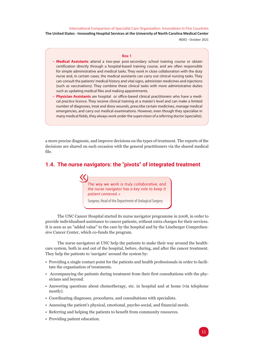IRDES - October 2021

#### **Box 1**

- <span id="page-12-0"></span>- **Medical Assistants** attend a two-year post-secondary school training course or obtain certification directly through a hospital-based training course, and are often responsible for simple administrative and medical tasks. They work in close collaboration with the duty nurse and, in certain cases, the medical assistants can carry out clinical nursing tasks. They can consult the patients' medical history and vital signs, administer medicines and injections (such as vaccinations). They combine these clinical tasks with more administrative duties such as updating medical files and making appointments.
- **Physician Assistants** are hospital or office-based clinical practitioners who have a medical practice licence. They receive clinical training at a master's level and can make a limited number of diagnoses, treat and dress wounds, prescribe certain medicines, manage medical emergencies, and carry out medical examinations. However, even though they specialise in many medical fields, they always work under the supervision of a referring doctor (specialist).

a more precise diagnosis, and improve decisions on the types of treatment. The reports of the decisions are shared on each occasion with the general practitioners via the shared medical file.

### **1.4. The nurse navigators: the "pivots" of integrated treatment**

*The way we work is truly collaborative, and the nurse navigator has a key role to keep it patient centered. »*

Surgeon, Head of the Department of Urological Surgery

The UNC Cancer Hospital started its nurse navigator programme in 2008, in order to provide individualised assistance to cancer patients, without extra charges for their services. It is seen as an "added value" to the care by the hospital and by the Lineberger Comprehensive Cancer Center, which co-funds the program.

The nurse navigators at UNC help the patients to make their way around the healthcare system, both in and out of the hospital, before, during, and after the cancer treatment. They help the patients to 'navigate' around the system by:

- Providing a single contact point for the patients and health professionals in order to facilitate the organisation of treatments.
- Accompanying the patients during treatment from their first consultations with the physicians and beyond.
- Answering questions about chemotherapy, etc. in hospital and at home (via telephone mostly).
- Coordinating diagnoses, procedures, and consultations with specialists.
- Assessing the patient's physical, emotional, psycho-social, and financial needs.
- Referring and helping the patients to benefit from community resources.
- Providing patient education.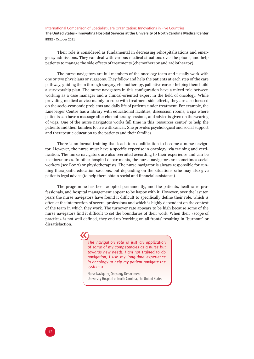Their role is considered as fundamental in decreasing rehospitalisations and emergency admissions. They can deal with various medical situations over the phone, and help patients to manage the side effects of treatments (chemotherapy and radiotherapy).

The nurse navigators are full members of the oncology team and usually work with one or two physicians or surgeons. They follow and help the patients at each step of the care pathway, guiding them through surgery, chemotherapy, palliative care or helping them build a survivorship plan. The nurse navigators in this configuration have a mixed role between working as a case manager and a clinical-oriented expert in the field of oncology. While providing medical advice mainly to cope with treatment side effects, they are also focused on the socio-economic problems and daily life of patients under treatment. For example, the Lineberger Centre has a library with educational facilities, discussion rooms, a spa where patients can have a massage after chemotherapy sessions, and advice is given on the wearing of wigs. One of the nurse navigators works full time in this 'resources centre' to help the patients and their families to live with cancer. She provides psychological and social support and therapeutic education to the patients and their families.

There is no formal training that leads to a qualification to become a nurse navigator. However, the nurse must have a specific expertise in oncology, via training and certification. The nurse navigators are also recruited according to their experience and can be «senior»nurses. In other hospital departments, the nurse navigators are sometimes social workers (see Box 2) or physiotherapists. The nurse navigator is always responsible for running therapeutic education sessions, but depending on the situations s/he may also give patients legal advice (to help them obtain social and financial assistance).

The programme has been adopted permanently, and the patients, healthcare professionals, and hospital management appear to be happy with it. However, over the last ten years the nurse navigators have found it difficult to specifically define their role, which is often at the intersection of several professions and which is highly dependent on the context of the team in which they work. The turnover rate appears to be high because some of the nurse navigators find it difficult to set the boundaries of their work. When their «scope of practice» is not well defined, they end up 'working on all fronts' resulting in "burnout" or dissatisfaction.

> *The navigation role is just an application of some of my competencies as a nurse but towards new needs, I am not trained to do navigation, I use my long-time experience in oncology to help my patient navigate the system. »*

Nurse Navigator, Oncology Department University Hospital of North Carolina, The United States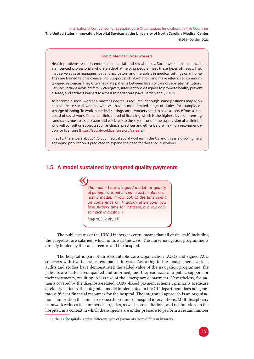<span id="page-14-0"></span>**The United States - Innovating Hospital Services at the University of North Carolina Medical Center**

IRDES - October 2021

#### **Box 2. Medical Social workers**

Health problems result in emotional, financial, and social needs. Social workers in healthcare are licenced professionals who are adept at helping people meet these types of needs. They may serve as case managers, patient navigators, and therapists in medical settings or at home. They are trained to give counselling, support and information, and make referrals to community-based resources. They often navigate patients between levels of care or separate institutions. Services include advising family caregivers, interventions designed to promote health, prevent disease, and address barriers to access to healthcare (Saxe Zerden et al., 2019).

To become a social worker a master's degree is required, although some positions may allow baccalaureate social workers who will have a more limited range of duties, for example, discharge planning. To work in medical settings social workers need to have a licence from a state board of social work. To earn a clinical level of licensing which is the highest level of licensing, candidates must pass an exam and work two to three years under the supervision of a clinician, who will consult on subjects such as clinical practices and ethics before making a recommendation for licensure [\(https://socialworklicensure.org/careers/\)](https://socialworklicensure.org/careers/).

In 2018, there were about 175,000 medical social workers in the US and this is a growing field. The aging population is predicted to expand the need for these social workers.

### **1.5. A model sustained by targeted quality payments**



The public status of the UNC Lineberger centre means that all of the staff, including the surgeons, are salaried, which is rare in the USA. The nurse navigation programme is directly funded by the cancer centre and the hospital.

The hospital is part of an Accountable Care Organization (ACO) and signed ACO contracts with two insurance companies in 2017. According to the management, various audits and studies have demonstrated the added value of the navigation programme: the patients are better accompanied and informed, and they can access to public support for their treatments, resulting in less use of the emergency department. Nevertheless, for patients covered by the diagnosis-related (DRG)-based payment scheme<sup>1</sup>, primarily Medicare or elderly patients, the integrated model implemented in the GU department does not generate sufficient financial resources for the hospital. The integrated approach is an organisational innovation that aims to reduce the volume of hospital interventions. Multidisciplinary teamwork reduces the number of surgeries, as well as consultations, and readmissions to the hospital, in a context in which the surgeons are under pressure to perform a certain number

<sup>&</sup>lt;sup>1</sup> In the US hospitals receive different type of payments from different insurers.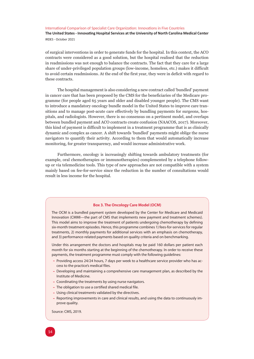**The United States - Innovating Hospital Services at the University of North Carolina Medical Center** IRDES - October 2021

of surgical interventions in order to generate funds for the hospital. In this context, the ACO contracts were considered as a good solution, but the hospital realised that the reduction in readmissions was not enough to balance the contracts. The fact that they care for a large share of under-privileged population groups (low-income, homeless, etc.) makes it difficult to avoid certain readmissions. At the end of the first year, they were in deficit with regard to these contracts.

The hospital management is also considering a new contract called 'bundled' payment in cancer care that has been proposed by the CMS for the beneficiaries of the Medicare programme (for people aged 65 years and older and disabled younger people). The CMS want to introduce a mandatory oncology bundle model in the United States to improve care transitions and to manage post-acute care effectively by bundling payments for surgeons, hospitals, and radiologists. However, there is no consensus on a pertinent model, and overlaps between bundled payment and ACO contracts create confusion (NAACOS, 2017). Moreover, this kind of payment is difficult to implement in a treatment programme that is as clinically dynamic and complex as cancer. A shift towards 'bundled' payments might oblige the nurse navigators to quantify their activity. According to them that would automatically increase monitoring, for greater transparency, and would increase administrative work.

Furthermore, oncology is increasingly shifting towards ambulatory treatments (for example, oral chemotherapies or immunotherapies) complemented by a telephone followup or via telemedicine tools. This type of new approaches are not compatible with a system mainly based on fee-for-service since the reduction in the number of consultations would result in less income for the hospital.

#### **Box 3. The Oncology Care Model (OCM)**

The OCM is a bundled payment system developed by the Center for Medicare and Medicaid Innovation (CMMI—the part of CMS that implements new payment and treatment schemes). This model aims to improve the treatment of patients undergoing chemotherapy by defining six-month treatment episodes. Hence, this programme combines 1) fees-for-services for regular treatments, 2) monthly payments for additional services with an emphasis on chemotherapy, and 3) performance-related payments based on quality criteria and on benchmarking.

Under this arrangement the doctors and hospitals may be paid 160 dollars per patient each month for six months starting at the beginning of the chemotherapy. In order to receive these payments, the treatment programme must comply with the following guidelines:

- Providing access 24/24 hours, 7 days per week to a healthcare service provider who has access to the practice's medical files.
- Developing and maintaining a comprehensive care management plan, as described by the Institute of Medicine.
- Coordinating the treatments by using nurse navigators.
- The obligation to use a certified shared medical file.
- Using clinical treatments validated by the directives.
- Reporting improvements in care and clinical results, and using the data to continuously improve quality.

Source: CMS, 2019.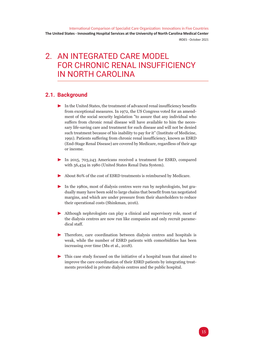## <span id="page-16-0"></span>2. AN INTEGRATED CARE MODEL FOR CHRONIC RENAL INSUFFICIENCY IN NORTH CAROLINA

### **2.1. Background**

- $\blacktriangleright$  In the United States, the treatment of advanced renal insufficiency benefits from exceptional measures. In 1972, the US Congress voted for an amendment of the social security legislation "to assure that any individual who suffers from chronic renal disease will have available to him the necessary life-saving care and treatment for such disease and will not be denied such treatment because of his inability to pay for it" (Institute of Medicine, 1991). Patients suffering from chronic renal insufficiency, known as ESRD (End-Stage Renal Disease) are covered by Medicare, regardless of their age or income.
- $\blacktriangleright$  In 2015, 703,243 Americans received a treatment for ESRD, compared with 56,434 in 1980 (United States Renal Data System).
- $\triangleright$  About 80% of the cost of ESRD treatments is reimbursed by Medicare.
- In the 1980s, most of dialysis centres were run by nephrologists, but gradually many have been sold to large chains that benefit from tax negotiated margins, and which are under pressure from their shareholders to reduce their operational costs (Shinkman, 2016).
- $\blacktriangleright$  Although nephrologists can play a clinical and supervisory role, most of the dialysis centres are now run like companies and only recruit paramedical staff.
- $\blacktriangleright$  Therefore, care coordination between dialysis centres and hospitals is weak, while the number of ESRD patients with comorbidities has been increasing over time (Mu et al., 2018).
- $\blacktriangleright$  This case study focused on the initiative of a hospital team that aimed to improve the care coordination of their ESRD patients by integrating treatments provided in private dialysis centres and the public hospital.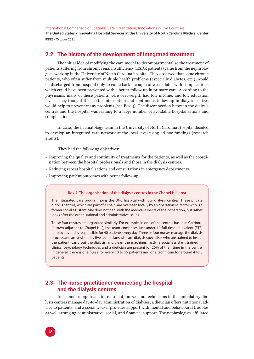<span id="page-17-0"></span>**The United States - Innovating Hospital Services at the University of North Carolina Medical Center** IRDES - October 2021

### **2.2. The history of the development of integrated treatment**

The initial idea of modifying the care model to decompartmentalise the treatment of patients suffering from chronic renal insufficiency (ESDR patients) came from the nephrologists working in the University of North Carolina hospital. They observed that some chronic patients, who often suffer from multiple health problems (especially diabetes, etc.), would be discharged from hospital only to come back a couple of weeks later with complications which could have been prevented with a better follow-up in primary care. According to the physicians, many of these patients were overweight, had low income, and low education levels. They thought that better information and continuous follow-up in dialysis centres would help to prevent many problems (see Box 4). The disconnection between the dialysis centres and the hospital was leading to a large number of avoidable hospitalisations and complications.

In 2012, the haematology team in the University of North Carolina Hospital decided to develop an integrated care network at the local level using ad hoc fundings (research grants).

They had the following objectives:

- Improving the quality and continuity of treatments for the patients, as well as the coordination between the hospital professionals and those in the dialysis centres.
- Reducing repeat hospitalisations and consultations in emergency departments.
- Improving patient outcomes with better follow-up.

#### **Box 4. The organisation of the dialysis centres in the Chapel Hill area**

The integrated care program joins the UNC hospital with four dialysis centres. These private dialysis centres, which are part of a chain, are overseen locally by an operations director who is a former social assistant. She does not deal with the medical aspects of their operation, but rather looks after the organisational and administrative issues.

These four centres are organized similarly. For example, in one of the centres based in Carrboro (a town adjacent to Chapel Hill), the team comprises just under 10 full-time equivalent (FTE) employees and is responsible for 40 patients every day. Three or four nurses manage the dialysis process and are assisted by five technicians who are dialysis specialists who are trained to install the patient, carry out the dialysis, and clean the machines; lastly, a social assistant trained in clinical psychology techniques and a dietician are present for 20% of their time in the centre. In general, there is one nurse for every 10 to 15 patients and one technician for around 4 to 8 patients.

### **2.3. The nurse practitioner connecting the hospital and the dialysis centres**

In a standard approach to treatment, nurses and technicians in the ambulatory dialysis centres manage day-to-day administration of dialyses, a dietician offers nutritional advice to patients, and a social worker provides support with mental and behavioural troubles as well arranging administrative, social, and financial support. The nephrologists affiliated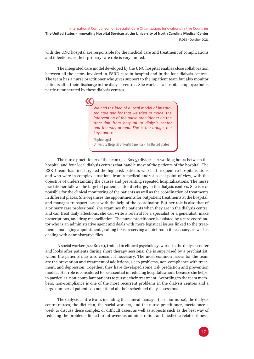with the UNC hospital are responsible for the medical care and treatment of complications and infections, as their primary care role is very limited.

The integrated care model developed by the UNC hospital enables close collaboration between all the actors involved in ESRD care in hospital and in the four dialysis centres. The team has a nurse practitioner who gives support to the inpatient team but also monitor patients after their discharge in the dialysis centres. She works as a hospital employee but is partly remunerated by these dialysis centres.

> *We had the idea of a local model of integrated care and for that we tried to model the intervention of the nurse practitioner on the transition from hospital to dialysis center and the way around. She is the bridge, the keystone. »*

Nephrologist University Hospital of North Carolina - The United States

The nurse practitioner of the team (see Box 5) divides her working hours between the hospital and four local dialysis centres that handle most of the patients of the hospital. The ESRD team has first targeted the high-risk patients who had frequent re-hospitalisations and who were in complex situations from a medical and/or social point of view, with the objective of understanding the causes and preventing repeated hospitalisations. The nurse practitioner follows the targeted patients, after discharge, in the dialysis centres. She is responsible for the clinical monitoring of the patients as well as the coordination of treatments in different places. She organises the appointments for outpatient treatments at the hospital, and manages transport issues with the help of the coordinator. But her role is also that of a primary care professional: she examines the patients when they are in the dialysis centre, and can treat daily affections, she can write a referral for a specialist or a generalist, make prescriptions, and drug reconciliation. The nurse practitioner is assisted by a care coordinator who is an administrative agent and deals with more logistical issues linked to the treatments: managing appointments, calling taxis, reserving a hotel room if necessary, as well as dealing with administrative files.

A social worker (see Box 2), trained in clinical psychology, works in the dialysis center and looks after patients during short therapy sessions; she is supervised by a psychiatrist, whom the patients may also consult if necessary. The most common issues for the team are the prevention and treatment of addictions, sleep problems, non-compliance with treatment, and depression. Together, they have developed some risk prediction and prevention models. Her role is considered to be essential in reducing hospitalisations because she helps, in particular, non-compliant patients to pursue their treatment. According to the team members, non-compliance is one of the most recurrent problems in the dialysis centres and a large number of patients do not attend all their scheduled dialysis sessions.

The dialysis centre team, including the clinical manager (a senior nurse), the dialysis centre nurses, the dietician, the social workers, and the nurse practitioner, meets once a week to discuss these complex or difficult cases, as well as subjects such as the best way of reducing the problems linked to intravenous administration and medicine-related illness,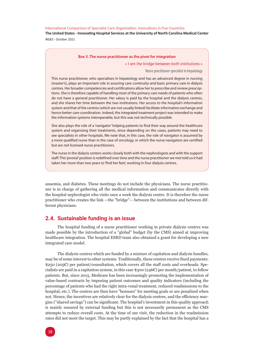<span id="page-19-0"></span>**The United States - Innovating Hospital Services at the University of North Carolina Medical Center** IRDES - October 2021

#### **Box 5. The nurse practitioner as the pivot for integration**

#### *« I am the bridge between both institutions »*

#### Nurse practitioner specialist in hepatology

This nurse practitioner, who specialises in hepatology and has an advanced degree in nursing (master's), plays an important role in assuring care continuity and basic primary care in dialysis centres. Her broader competencies and certifications allow her to prescribe and review prescriptions. She is therefore capable of handling most of the primary care needs of patients who often do not have a general practitioner. Her salary is paid by the hospital and the dialysis centres, and she shares her time between the two institutions. Her access to the hospital's information system and that of the centres (which are not usually linked) facilitate information exchange and hence better care coordination. Indeed, the integrated treatment project was intended to make the information systems interoperable, but this was not technically possible.

She also plays the role of a 'navigator' helping patients to find their way around the healthcare system and organising their treatments, since depending on the cases, patients may need to see specialists in other hospitals. We note that, in this case, the role of navigator is assumed by a more qualified nurse than in the case of oncology, in which the nurse navigators are certified but are not licensed nurse practitioners.

The nurse in the dialysis centers works closely both with the nephrologists and with the support staff. This 'pivotal' position is redefined over time and the nurse practitioner we met told us it had taken her more than two years to 'find her feet', working in four dialysis centres.

anaemia, and diabetes. These meetings do not include the physicians. The nurse practitioner is in charge of gathering all the medical information and communicates directly with the hospital nephrologist who visits once a week the dialysis centre. It is therefore the nurse practitioner who creates the link —the "bridge"— between the institutions and between different physicians.

#### **2.4. Sustainable funding is an issue**

The hospital funding of a nurse practitioner working in private dialysis centres was made possible by the introduction of a "global" budget (by the CMS) aimed at improving healthcare integration. The hospital ESRD team also obtained a grant for developing a new integrated care model.

The dialysis centres which are funded by a mixture of capitation and dialysis bundles, may be of some interest to other systems. Traditionally, these centres receive fixed payments: \$250 (205€) per patient/consultation, which covers all the staff costs and overheads. Specialists are paid in a capitation system, in this case \$300 (246 $\epsilon$ ) per month/patient, to follow patients. But, since 2015, Medicare has been increasingly promoting the implementation of value-based contracts by imposing patient outcomes and quality indicators (including the percentage of patients who had the right intra-venal treatment, reduced readmissions to the hospital, etc.). The centres are then have "bonuses" for meeting goals or are penalized when not. Hence, the incentives are relatively clear for the dialysis centres, and the efficiency margins ("shared savings") can be significant. The hospital's investment in this quality approach is mainly ensured by external funding but this is not necessarily permanent as the CMS attempts to reduce overall costs. At the time of our visit, the reduction in the readmission rates did not meet the target. This may be partly explained by the fact that the hospital has a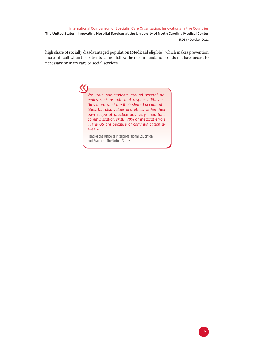<span id="page-20-0"></span>high share of socially disadvantaged population (Medicaid eligible), which makes prevention more difficult when the patients cannot follow the recommendations or do not have access to necessary primary care or social services.

> *We train our students around several domains such as role and responsibilities, so they learn what are their shared accountabilities, but also values and ethics within their own scope of practice and very important: communication skills, 70% of medical errors in the US are because of communication issues. »*

Head of the Office of Interprofessional Education and Practice - The United States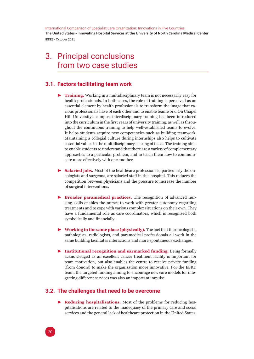## <span id="page-21-0"></span>3. Principal conclusions from two case studies

### **3.1. Factors facilitating team work**

- **Training.** Working in a multidisciplinary team is not necessarily easy for health professionals. In both cases, the role of training is perceived as an essential element by health professionals to transform the image that various professionals have of each other and to enable teamwork. On Chapel Hill University's campus, interdisciplinary training has been introduced into the curriculum in the first years of university training, as well as throughout the continuous training to help well-established teams to evolve. It helps students acquire new competencies such as building teamwork. Maintaining a collegial culture during internships also helps to cultivate essential values in the multidisciplinary sharing of tasks. The training aims to enable students to understand that there are a variety of complementary approaches to a particular problem, and to teach them how to communicate more effectively with one another.
- $\blacktriangleright$  **Salaried jobs.** Most of the healthcare professionals, particularly the oncologists and surgeons, are salaried staff in this hospital. This reduces the competition between physicians and the pressure to increase the number of surgical interventions.
- **Broader paramedical practices.** The recognition of advanced nursing skills enables the nurses to work with greater autonomy regarding treatments and to cope with various complex situations on their own. They have a fundamental role as care coordinators, which is recognised both symbolically and financially.
- ▶ Working in the same place (physically). The fact that the oncologists, pathologists, radiologists, and paramedical professionals all work in the same building facilitates interactions and more spontaneous exchanges.
- **EXECUTE:** Institutional recognition and earmarked funding. Being formally acknowledged as an excellent cancer treatment facility is important for team motivation, but also enables the centre to receive private funding (from donors) to make the organisation more innovative. For the ESRD team, the targeted funding aiming to encourage new care models for integrating different services was also an important impulse.

#### **3.2. The challenges that need to be overcome**

**Reducing hospitalisations.** Most of the problems for reducing hospitalisations are related to the inadequacy of the primary care and social services and the general lack of healthcare protection in the United States.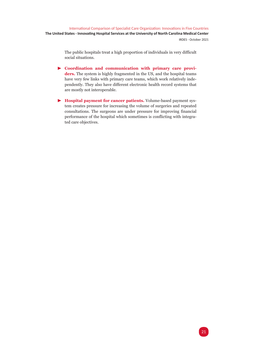<span id="page-22-0"></span>The public hospitals treat a high proportion of individuals in very difficult social situations.

- **EXECUTE:** Coordination and communication with primary care providers. The system is highly fragmented in the US, and the hospital teams have very few links with primary care teams, which work relatively independently. They also have different electronic health record systems that are mostly not interoperable.
- $\blacktriangleright$  **Hospital payment for cancer patients.** Volume-based payment system creates pressure for increasing the volume of surgeries and repeated consultations. The surgeons are under pressure for improving financial performance of the hospital which sometimes is conflicting with integrated care objectives.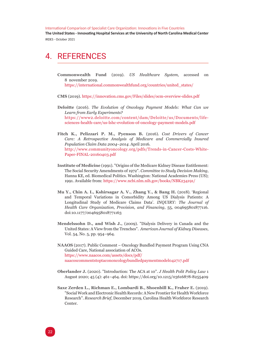**The United States - Innovating Hospital Services at the University of North Carolina Medical Center** IRDES - October 2021

## 4. REFERENCES

**Commonwealth Fund** (2019). *US Healthcare System*, accessed on 8 november 2019.

[https://international.commonwealthfund.org/countries/united\\_states/](https://international.commonwealthfund.org/countries/united_states/)

**CMS** (2019).<https://innovation.cms.gov/Files/slides/ocm-overview-slides.pdf>

- **Deloitte** (2016). *The Evolution of Oncology Payment Models: What Can we Learn from Early Experiments?* [https://www2.deloitte.com/content/dam/Deloitte/us/Documents/life](https://www2.deloitte.com/content/dam/Deloitte/us/Documents/life-sciences-health-care/us-lshc-evolution-of-oncology-payment-models.pdf)[sciences-health-care/us-lshc-evolution-of-oncology-payment-models.pdf](https://www2.deloitte.com/content/dam/Deloitte/us/Documents/life-sciences-health-care/us-lshc-evolution-of-oncology-payment-models.pdf)
- **Fitch K., Pelizzari P. M., Pyenson B.** (2016). *Cost Drivers of Cancer Care: A Retrospective Analysis of Medicare and Commercially Insured Population Claim Data 2004–2014*. April 2016. [http://www.communityoncology.org/pdfs/Trends-in-Cancer-Costs-White-](http://www.communityoncology.org/pdfs/Trends-in-Cancer-Costs-White-Paper-FINAL-20160403.pdf)[Paper-FINAL-20160403.pdf](http://www.communityoncology.org/pdfs/Trends-in-Cancer-Costs-White-Paper-FINAL-20160403.pdf)
- **Institute of Medicine** (1991). "Origins of the Medicare Kidney Disease Entitlement: The Social Security Amendments of 1972". *Committee to Study Decision Making*, Hanna KE, ed. Biomedical Politics. Washington: National Academies Press (US); 1991. Available from: https://www.ncbi.nlm.nih.gov/books/NBK234191/
- **Mu Y., Chin A. I., Kshirsagar A. V., Zhang Y., & Bang H.** (2018). 'Regional and Temporal Variations in Comorbidity Among US Dialysis Patients: A Longitudinal Study of Medicare Claims Data'. *INQUIRY: The Journal of Health Care Organization, Provision, and Financing*, 55, 004695801877116. doi:10.1177/0046958018771163
- **Mendelssohn D., and Wish J.,** (2009). "Dialysis Delivery in Canada and the United States: A View from the Trenches". *American Journal of Kidney Diseases*, Vol. 54, No. 5, pp. 954–964.

**NAAOS** (2017). Public Comment – Oncology Bundled Payment Program Using CNA Guided Care, National association of ACOs. [https://www.naacos.com/assets/docs/pdf/](https://www.naacos.com/assets/docs/pdf/naacoscommentstoptacononcologybundledpaymentmodel042717.pdf) [naacoscommentstoptacononcologybundledpaymentmodel042717.pdf](https://www.naacos.com/assets/docs/pdf/naacoscommentstoptacononcologybundledpaymentmodel042717.pdf)

- **Oberlander J.** (2020). "Introduction: The ACA at 10". *J Health Polit Policy Law* 1 August 2020; 45 (4): 461–464. doi: <https://doi.org/10.1215/03616878-8255409>
- **Saxe Zerden L., Richman E., Lombardi B., Shoenbill K., Fraher E.** (2019). "Social Work and Electronic Health Records: A New Frontier for Health Workforce Research". *Research Brief*, December 2019, Carolina Health Workforce Research Center.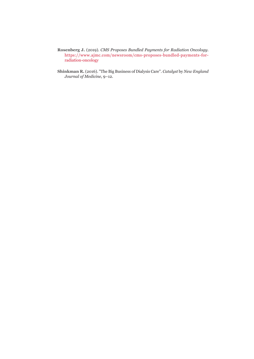- **Rosenberg J.** (2019). *CMS Proposes Bundled Payments for Radiation Oncology*. [https://www.ajmc.com/newsroom/cms-proposes-bundled-payments-for](https://www.ajmc.com/newsroom/cms-proposes-bundled-payments-for-radiation-oncology)[radiation-oncology](https://www.ajmc.com/newsroom/cms-proposes-bundled-payments-for-radiation-oncology)
- **Shinkman R.** (2016). "The Big Business of Dialysis Care". *Catalyst* by *New England Journal of Medicine*, 9–12.